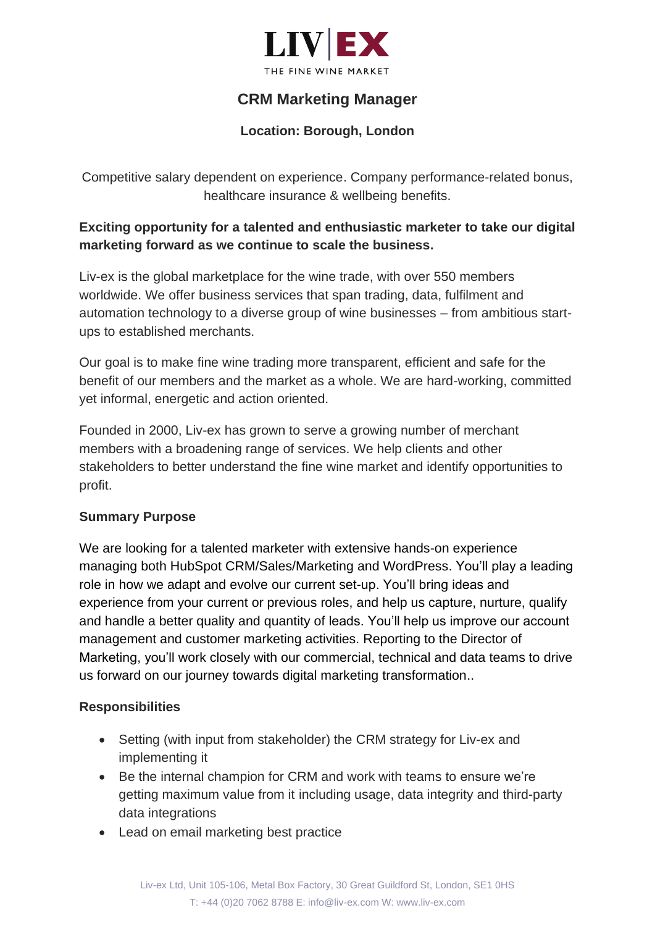

# **CRM Marketing Manager**

### **Location: Borough, London**

Competitive salary dependent on experience. Company performance-related bonus, healthcare insurance & wellbeing benefits.

## **Exciting opportunity for a talented and enthusiastic marketer to take our digital marketing forward as we continue to scale the business.**

Liv-ex is the global marketplace for the wine trade, with over 550 members worldwide. We offer business services that span trading, data, fulfilment and automation technology to a diverse group of wine businesses – from ambitious startups to established merchants.

Our goal is to make fine wine trading more transparent, efficient and safe for the benefit of our members and the market as a whole. We are hard-working, committed yet informal, energetic and action oriented.

Founded in 2000, Liv-ex has grown to serve a growing number of merchant members with a broadening range of services. We help clients and other stakeholders to better understand the fine wine market and identify opportunities to profit.

#### **Summary Purpose**

We are looking for a talented marketer with extensive hands-on experience managing both HubSpot CRM/Sales/Marketing and WordPress. You'll play a leading role in how we adapt and evolve our current set-up. You'll bring ideas and experience from your current or previous roles, and help us capture, nurture, qualify and handle a better quality and quantity of leads. You'll help us improve our account management and customer marketing activities. Reporting to the Director of Marketing, you'll work closely with our commercial, technical and data teams to drive us forward on our journey towards digital marketing transformation..

#### **Responsibilities**

- Setting (with input from stakeholder) the CRM strategy for Liv-ex and implementing it
- Be the internal champion for CRM and work with teams to ensure we're getting maximum value from it including usage, data integrity and third-party data integrations
- Lead on email marketing best practice